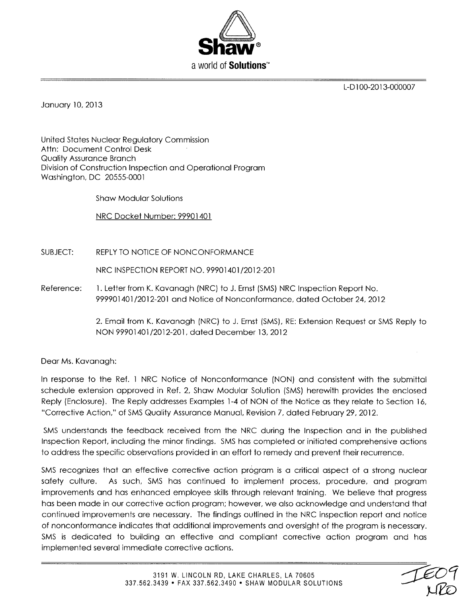

L-D 100-2013-000007

January 10, 2013

United States Nuclear Regulatory Commission Attn: Document Control Desk Quality Assurance Branch Division of Construction Inspection and Operational Program Washington, DC 20555-0001

Shaw Modular Solutions

NRC Docket Number: 99901401

SUBJECT: REPLY TO NOTICE OF NONCONFORMANCE

NRC INSPECTION REPORT NO. 99901401/2012-201

Reference: 1. Letter from K. Kavanagh (NRC) to J. Ernst (SMS) NRC Inspection Report No. 999901401/2012-201 and Notice of Nonconformance, dated October 24, 2012

> 2. Email from K. Kavanagh (NRC) to J. Ernst (SMS), RE: Extension Request or SMS Reply to NON 99901401/2012-201, dated December 13, 2012

Dear Ms. Kavanagh:

In response to the Ref. 1 NRC Notice of Nonconformance (NON) and consistent with the submittal schedule extension approved in Ref. 2, Shaw Modular Solution (SMS) herewith provides the enclosed Reply (Enclosure). The Reply addresses Examples 1-4 of NON of the Notice as they relate to Section 16, "Corrective Action," of SMS Quality Assurance Manual, Revision 7, dated February 29, 2012.

SMS understands the feedback received from the NRC during the Inspection and in the published Inspection Report, including the minor findings. SMS has completed or initiated comprehensive actions to address the specific observations provided in an effort to remedy and prevent their recurrence.

SMS recognizes that an effective corrective action program is a critical aspect of a strong nuclear safety culture. As such, SMS has continued to implement process, procedure, and program improvements and has enhanced employee skills through relevant training. We believe that progress has been made in our corrective action program; however, we also acknowledge and understand that continued improvements are necessary. The findings outlined in the NRC inspection report and notice of nonconformance indicates that additional improvements and oversight of the program is necessary. SMS is dedicated to building an effective and compliant corrective action program and has implemented several immediate corrective actions.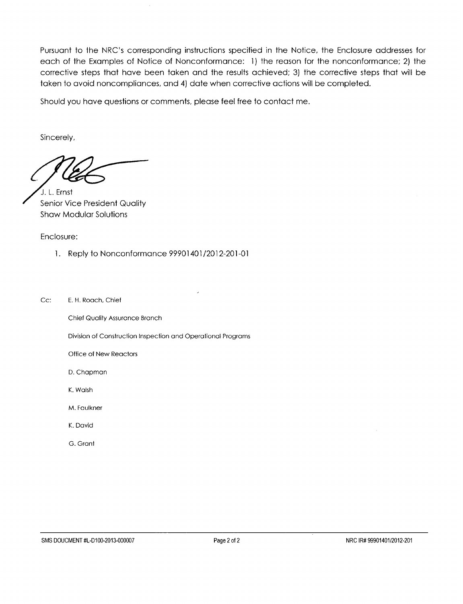Pursuant to the NRC's corresponding instructions specified in the Notice, the Enclosure addresses for each of the Examples of Notice of Nonconformance: 1) the reason for the nonconformance; 2) the corrective steps that have been taken and the results achieved; 3) the corrective steps that will be taken to avoid noncompliances, and 4) date when corrective actions will be completed.

Should you have questions or comments, please feel free to contact me.

Sincerely,

**'J.** L. Ernst Senior Vice President Quality Shaw Modular Solutions

Enclosure:

1. Reply to Nonconformance 99901401/2012-201-01

Cc: E. H. Roach, Chief

Chief Quality Assurance Branch

Division of Construction Inspection and Operational Programs

Office of New Reactors

D. Chapman

K. Walsh

M. Faulkner

K. David

G. Grant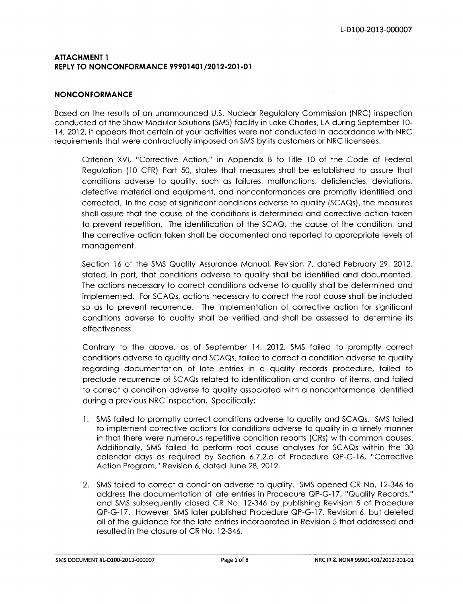# **ATTACHMENT I** REPLY TO **NONCONFORMANCE** 99901401/2012-201-01

# **NONCONFORMANCE**

Based on the results of an unannounced U.S. Nuclear Regulatory Commission (NRC) inspection conducted at the Shaw Modular Solutions (SMS) facility in Lake Charles, LA during September 10- 14, 2012, it appears that certain of your activities were not conducted in accordance with NRC requirements that were contractually imposed on SMS by its customers or NRC licensees.

Criterion XVI, "Corrective Action," in Appendix B to Title 10 of the Code of Federal Regulation (10 CFR) Part 50, states that measures shall be established to assure that conditions adverse to quality, such as failures, malfunctions, deficiencies, deviations, defective material and equipment, and nonconformances are promptly identified and corrected. In the case of significant conditions adverse to quality (SCAQs), the measures shall assure that the cause of the conditions is determined and corrective action taken to prevent repetition. The identification of the SCAQ, the cause of the condition, and the corrective action taken shall be documented and reported to appropriate levels of management.

Section 16 of the SMS Quality Assurance Manual, Revision 7, dated February 29, 2012, stated, in part, that conditions adverse to quality shall be identified and documented. The actions necessary to correct conditions adverse to quality shall be determined and implemented. For SCAQs, actions necessary to correct the root cause shall be included so as to prevent recurrence. The implementation of corrective action for significant conditions adverse to quality shall be verified and shall be assessed to determine its effectiveness.

Contrary to the above, as of September 14, 2012, SMS failed to promptly correct conditions adverse to quality and SCAQs, failed to correct a condition adverse to quality regarding documentation of late entries in a quality records procedure, failed to preclude recurrence of SCAQs related to identification and control of items, and failed to correct a condition adverse to quality associated with a nonconformance identified during a previous NRC inspection. Specifically:

- 1. SMS failed to promptly correct conditions adverse to quality and SCAQs. SMS failed to implement corrective actions for conditions adverse to quality in a timely manner in that there were numerous repetitive condition reports (CRs) with common causes. Additionally, SMS failed to perform root cause analyses for SCAQs within the 30 calendar days as required by Section 6.7.2.a of Procedure QP-G-16, "Corrective Action Program," Revision 6, dated June 28, 2012.
- 2. SMS failed to correct a condition adverse to quality. SMS opened CR No. 12-346 to address the documentation of late entries in Procedure QP-G-1 7, "Quality Records," and SMS subsequently closed CR No. 12-346 by publishing Revision 5 of Procedure QP-G-17. However, SMS later published Procedure QP-G-17, Revision 6, but deleted all of the guidance for the late entries incorporated in Revision 5 that addressed and resulted in the closure of CR No. 12-346.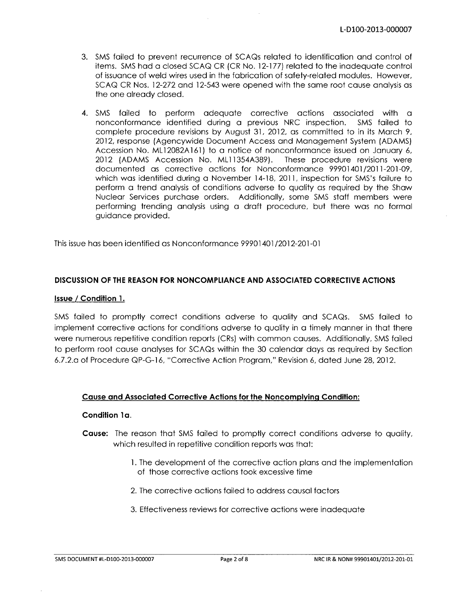- 3. SMS failed to prevent recurrence of SCAQs related to identification and control of items. SMS had a closed SCAQ CR (CR No. 12-177) related to the inadequate control of issuance of weld wires used in the fabrication of safety-related modules. However, SCAQ CR Nos. 12-272 and 12-543 were opened with the same root cause analysis as the one already closed.
- 4. SMS failed to perform adequate corrective actions associated with a nonconformance identified during a previous NRC inspection. SMS failed to nonconformance identified during a previous NRC inspection. complete procedure revisions by August 31, 2012, as committed to in its March 9, 2012, response (Agencywide Document Access and Management System (ADAMS) Accession No. ML12082A161) to a notice of nonconformance issued on January 6, Accession No. ML11354A389). These procedure revisions were 2012 (ADAMS Accession No. ML11354A389). documented as corrective actions for Nonconformance 99901401/2011-201-09, which was identified during a November 14-18, 2011, inspection for SMS's failure to perform a trend analysis of conditions adverse to quality as required by the Shaw Nuclear Services purchase orders. Additionally, some SMS staff members were performing trending analysis using a draft procedure, but there was no formal guidance provided.

This issue has been identified as Nonconformance 99901401/2012-201-01

## **DISCUSSION** OF THE **REASON** FOR **NONCOMPLIANCE AND ASSOCIATED** CORRECTIVE **ACTIONS**

#### Issue **/** Condition **1.**

SMS failed to promptly correct conditions adverse to quality and SCAQs. SMS failed to implement corrective actions for conditions adverse to quality in a timely manner in that there were numerous repetitive condition reports (CRs) with common causes. Additionally, SMS failed to perform root cause analyses for SCAQs within the 30 calendar days as required by Section 6.7.2.a of Procedure QP-G-16, "Corrective Action Program," Revision 6, dated June 28, 2012.

#### Cause and Associated Corrective Actions for the Noncomplying Condition:

#### Condition **la.**

- Cause: The reason that SMS failed to promptly correct conditions adverse to quality, which resulted in repetitive condition reports was that:
	- 1. The development of the corrective action plans and the implementation of those corrective actions took excessive time
	- 2. The corrective actions failed to address causal factors
	- 3. Effectiveness reviews for corrective actions were inadequate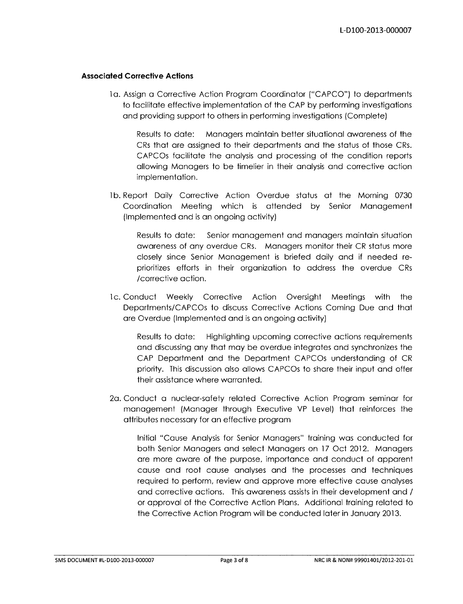#### Associated Corrective Actions

l a. Assign a Corrective Action Program Coordinator ("CAPCO") to departments to facilitate effective implementation of the CAP by performing investigations and providing support to others in performing investigations (Complete)

Results to date: Managers maintain better situational awareness of the CRs that are assigned to their departments and the status of those CRs. CAPCOs facilitate the analysis and processing of the condition reports allowing Managers to be timelier in their analysis and corrective action implementation.

**1** b. Report Daily Corrective Action Overdue status at the Morning 0730 Coordination Meeting which is attended by Senior Management (Implemented and is an ongoing activity)

Results to date: Senior management and managers maintain situation awareness of any overdue CRs. Managers monitor their CR status more closely since Senior Management is briefed daily and if needed reprioritizes efforts in their organization to address the overdue CRs /corrective action.

**1** c. Conduct Weekly Corrective Action Oversight Meetings with the Departments/CAPCOs to discuss Corrective Actions Coming Due and that are Overdue (Implemented and is an ongoing activity)

Results to date: Highlighting upcoming corrective actions requirements and discussing any that may be overdue integrates and synchronizes the CAP Department and the Department CAPCOs understanding of CR priority. This discussion also allows CAPCOs to share their input and offer their assistance where warranted.

2a. Conduct a nuclear-safety related Corrective Action Program seminar for management (Manager through Executive VP Level) that reinforces the attributes necessary for an effective program

Initial "Cause Analysis for Senior Managers" training was conducted for both Senior Managers and select Managers on 17 Oct 2012. Managers are more aware of the purpose, importance and conduct of apparent cause and root cause analyses and the processes and techniques required to perform, review and approve more effective cause analyses and corrective actions. This awareness assists in their development and / or approval of the Corrective Action Plans. Additional training related to the Corrective Action Program will be conducted later in January 2013.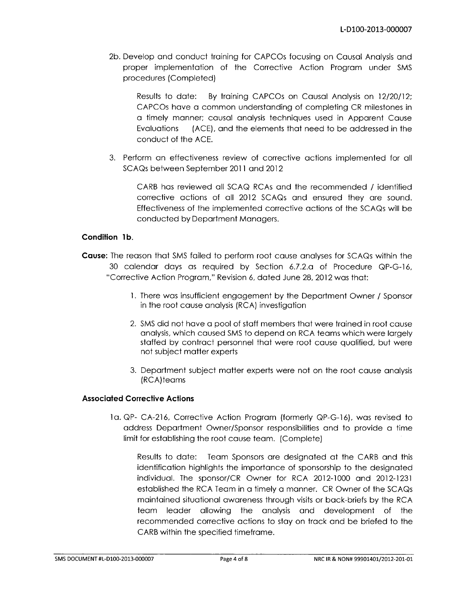2b. Develop and conduct training for CAPCOs focusing on Causal Analysis and proper implementation of the Corrective Action Program under SMS procedures (Completed)

Results to date: By training CAPCOs on Causal Analysis on 12/20/12; CAPCOs have a common understanding of completing CR milestones in a timely manner; causal analysis techniques used in Apparent Cause Evaluations (ACE), and the elements that need to be addressed in the conduct of the ACE.

3. Perform an effectiveness review of corrective actions implemented for all SCAQs between September 2011 and 2012

CARB has reviewed all SCAQ RCAs and the recommended / identified corrective actions of all 2012 SCAQs and ensured they are sound. Effectiveness of the implemented corrective actions of the SCAQs will be conducted by Department Managers.

# Condition **lb.**

- Cause: The reason that SMS failed to perform root cause analyses for SCAQs within the 30 calendar days as required by Section 6.7.2.a of Procedure QP-G-16, "Corrective Action Program," Revision 6, dated June 28, 2012 was that:
	- 1. There was insufficient engagement by the Department Owner / Sponsor in the root cause analysis (RCA) investigation
	- 2. SMS did not have a pool of staff members that were trained in root cause analysis, which caused SMS to depend on RCA teams which were largely staffed by contract personnel that were root cause qualified, but were not subject matter experts
	- 3. Department subject matter experts were not on the root cause analysis (RCA)teams

## Associated Corrective Actions

la. QP- CA-216, Corrective Action Program (formerly QP-G-16), was revised to address Department Owner/Sponsor responsibilities and to provide a time limit for establishing the root cause team. (Complete)

Results to date: Team Sponsors are designated at the CARB and this identification highlights the importance of sponsorship to the designated individual. The sponsor/CR Owner for RCA 2012-1000 and 2012-1231 established the RCA Team in a timely a manner. CR Owner of the SCAQs maintained situational awareness through visits or back-briefs by the RCA team leader allowing the analysis and development of the recommended corrective actions to stay on track and be briefed to the CARB within the specified timeframe.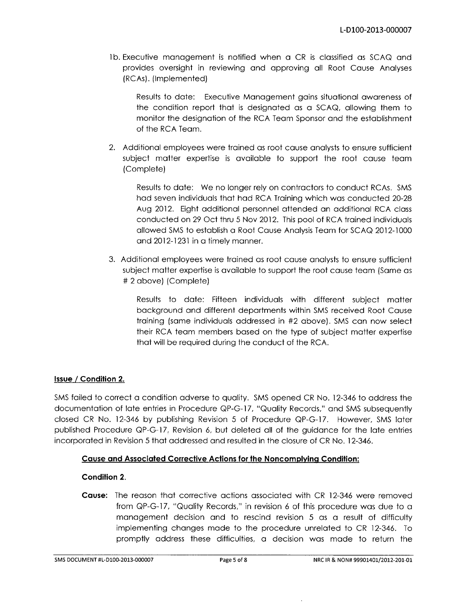**1** b. Executive management is notified when a CR is classified as SCAQ and provides oversight in reviewing and approving all Root Cause Analyses (RCAs). (Implemented)

Results to date: Executive Management gains situational awareness of the condition report that is designated as a SCAQ, allowing them to monitor the designation of the RCA Team Sponsor and the establishment of the RCA Team.

2. Additional employees were trained as root cause analysts to ensure sufficient subject matter expertise is available to support the root cause team (Complete)

Results to date: We no longer rely on contractors to conduct RCAs. SMS had seven individuals that had RCA Training which was conducted 20-28 Aug 2012. Eight additional personnel attended an additional RCA class conducted on 29 Oct thru 5 Nov 2012. This pool of RCA trained individuals allowed SMS to establish a Root Cause Analysis Team for SCAQ 2012-1000 and 2012-1231 in a timely manner.

3. Additional employees were trained as root cause analysts to ensure sufficient subject matter expertise is available to support the root cause team (Same as # 2 above) (Complete)

Results to date: Fifteen individuals with different subject matter background and different departments within SMS received Root Cause training (same individuals addressed in #2 above). SMS can now select their RCA team members based on the type of subject matter expertise that will be required during the conduct of the RCA.

# Issue / Condition 2.

SMS failed to correct a condition adverse to quality. SMS opened CR No. 12-346 to address the documentation of late entries in Procedure QP-G-17, "Quality Records," and SMS subsequently closed CR No. 12-346 by publishing Revision 5 of Procedure QP-G-17. However, SMS later published Procedure QP-G- **17,** Revision 6, but deleted all of the guidance for the late entries incorporated in Revision 5 that addressed and resulted in the closure of CR No. 12-346.

## Cause and Associated Corrective Actions for the Noncomplying Condition:

## Condition 2.

**Cause:** The reason that corrective actions associated with CR 12-346 were removed from QP-G-17, "Quality Records," in revision 6 of this procedure was due to a management decision and to rescind revision 5 as a result of difficulty implementing changes made to the procedure unrelated to CR 12-346. To promptly address these difficulties, a decision was made to return the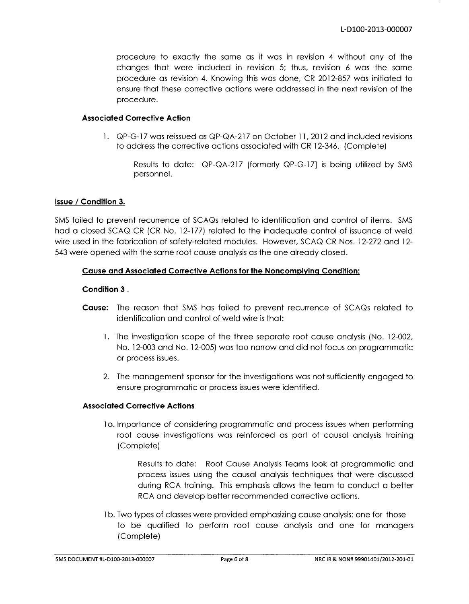procedure to exactly the same as it was in revision 4 without any of the changes that were included in revision 5; thus, revision 6 was the same procedure as revision 4. Knowing this was done, CR 2012-857 was initiated to ensure that these corrective actions were addressed in the next revision of the procedure.

## Associated Corrective Action

1. QP-G-17 was reissued as QP-QA-217 on October 11, 2012 and included revisions to address the corrective actions associated with CR 12-346. (Complete)

#### Issue / Condition **3.**

SMS failed to prevent recurrence of SCAQs related to identification and control of items. SMS had a closed SCAQ CR (CR No. 12-177) related to the inadequate control of issuance of weld wire used in the fabrication of safety-related modules. However, SCAQ CR Nos. 12-272 and 12- 543 were opened with the same root cause analysis as the one already closed.

#### Cause and Associated Corrective Actions for the Noncomplying Condition:

#### Condition **3.**

- Cause: The reason that SMS has failed to prevent recurrence of SCAQs related to identification and control of weld wire is that:
	- 1. The investigation scope of the three separate root cause analysis (No. 12-002, No. 12-003 and No. 12-005) was too narrow and did not focus on programmatic or process issues.
	- 2. The management sponsor for the investigations was not sufficiently engaged to ensure programmatic or process issues were identified.

#### Associated Corrective Actions

**1** a. Importance of considering programmatic and process issues when performing root cause investigations was reinforced as part of causal analysis training (Complete)

> Results to date: Root Cause Analysis Teams look at programmatic and process issues using the causal analysis techniques that were discussed during RCA training. This emphasis allows the team to conduct a better RCA and develop better recommended corrective actions.

1 b. Two types of classes were provided emphasizing cause analysis: one for those to be qualified to perform root cause analysis and one for managers (Complete)

Results to date: QP-QA-217 (formerly QP-G-17] is being utilized by SMS personnel.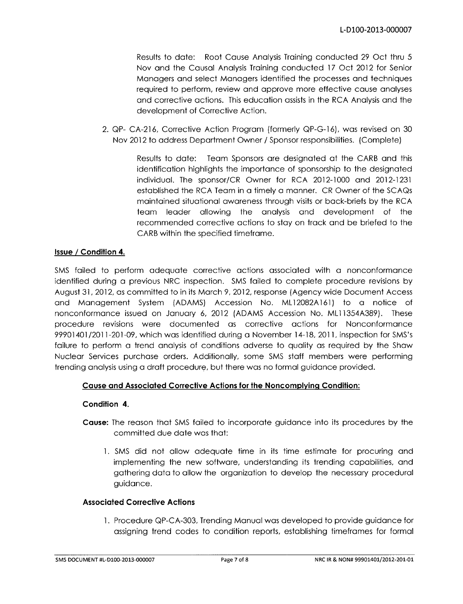Results to date: Root Cause Analysis Training conducted 29 Oct thru 5 Nov and the Causal Analysis Training conducted 17 Oct 2012 for Senior Managers and select Managers identified the processes and techniques required to perform, review and approve more effective cause analyses and corrective actions. This education assists in the RCA Analysis and the development of Corrective Action.

2. QP- CA-216, Corrective Action Program (formerly QP-G-16), was revised on 30 Nov 2012 to address Department Owner / Sponsor responsibilities. (Complete)

> Results to date: Team Sponsors are designated at the CARB and this identification highlights the importance of sponsorship to the designated individual. The sponsor/CR Owner for RCA 2012-1000 and 2012-1231 established the RCA Team in a timely a manner. CR Owner of the SCAQs maintained situational awareness through visits or back-briefs by the RCA team leader allowing the analysis and development of the recommended corrective actions to stay on track and be briefed to the CARB within the specified timeframe.

# Issue **/** Condition 4.

SMS failed to perform adequate corrective actions associated with a nonconformance identified during a previous NRC inspection. SMS failed to complete procedure revisions by August 31, 2012, as committed to in its March 9, 2012, response (Agency wide Document Access and Management System (ADAMS) Accession No. ML12082A161) to a notice of nonconformance issued on January 6, 2012 (ADAMS Accession No. ML11354A389). These procedure revisions were documented as corrective actions for Nonconformance 99901401/2011-201-09, which was identified during a November 14-18, 2011, inspection for SMS's failure to perform a trend analysis of conditions adverse to quality as required by the Shaw Nuclear Services purchase orders. Additionally, some SMS staff members were performing trending analysis using a draft procedure, but there was no formal guidance provided.

## Cause and Associated Corrective Actions for the Noncomplying Condition:

## Condition 4.

- Cause: The reason that SMS failed to incorporate guidance into its procedures by the committed due date was that:
	- 1. SMS did not allow adequate time in its time estimate for procuring and implementing the new software, understanding its trending capabilities, and gathering data to allow the organization to develop the necessary procedural guidance.

## Associated Corrective Actions

1. Procedure QP-CA-303, Trending Manual was developed to provide guidance for assigning trend codes to condition reports, establishing timeframes for formal